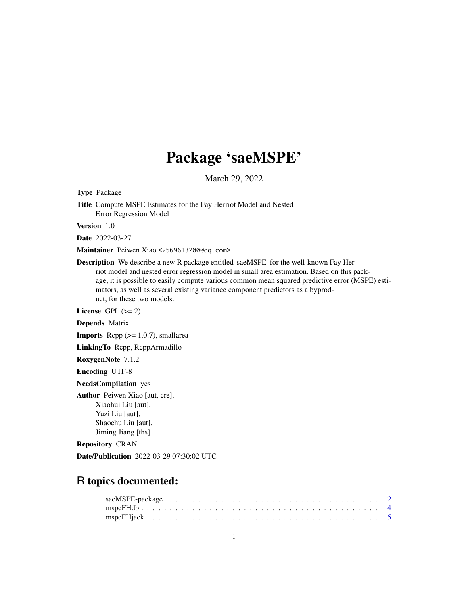# Package 'saeMSPE'

March 29, 2022

Type Package

Title Compute MSPE Estimates for the Fay Herriot Model and Nested Error Regression Model

Version 1.0

Date 2022-03-27

Maintainer Peiwen Xiao <2569613200@qq.com>

Description We describe a new R package entitled 'saeMSPE' for the well-known Fay Herriot model and nested error regression model in small area estimation. Based on this package, it is possible to easily compute various common mean squared predictive error (MSPE) estimators, as well as several existing variance component predictors as a byproduct, for these two models.

License GPL  $(>= 2)$ 

Depends Matrix

**Imports** Rcpp  $(>= 1.0.7)$ , smallarea

LinkingTo Rcpp, RcppArmadillo

RoxygenNote 7.1.2

Encoding UTF-8

NeedsCompilation yes

Author Peiwen Xiao [aut, cre], Xiaohui Liu [aut], Yuzi Liu [aut], Shaochu Liu [aut], Jiming Jiang [ths]

Repository CRAN

Date/Publication 2022-03-29 07:30:02 UTC

# R topics documented: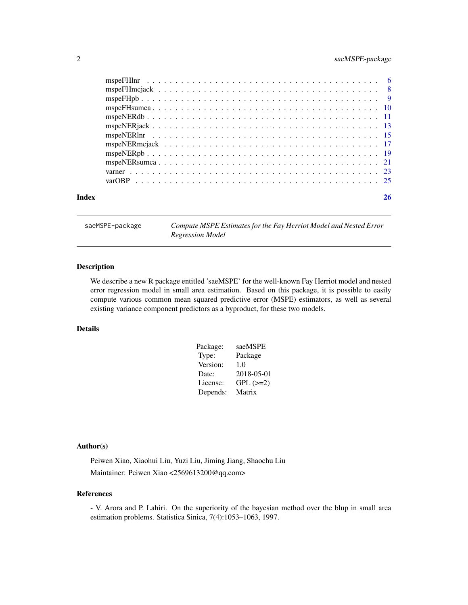# <span id="page-1-0"></span>2 saeMSPE-package

| Index | 26 |
|-------|----|

saeMSPE-package *Compute MSPE Estimates for the Fay Herriot Model and Nested Error Regression Model*

# Description

We describe a new R package entitled 'saeMSPE' for the well-known Fay Herriot model and nested error regression model in small area estimation. Based on this package, it is possible to easily compute various common mean squared predictive error (MSPE) estimators, as well as several existing variance component predictors as a byproduct, for these two models.

# Details

| Package: | saeMSPE    |
|----------|------------|
| Type:    | Package    |
| Version: | 1.0        |
| Date:    | 2018-05-01 |
| License: | $GPL (=2)$ |
| Depends: | Matrix     |

# Author(s)

Peiwen Xiao, Xiaohui Liu, Yuzi Liu, Jiming Jiang, Shaochu Liu Maintainer: Peiwen Xiao <2569613200@qq.com>

# References

- V. Arora and P. Lahiri. On the superiority of the bayesian method over the blup in small area estimation problems. Statistica Sinica, 7(4):1053–1063, 1997.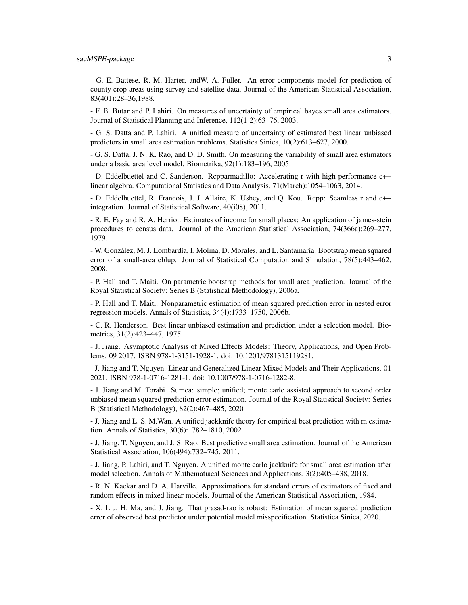- G. E. Battese, R. M. Harter, andW. A. Fuller. An error components model for prediction of county crop areas using survey and satellite data. Journal of the American Statistical Association, 83(401):28–36,1988.

- F. B. Butar and P. Lahiri. On measures of uncertainty of empirical bayes small area estimators. Journal of Statistical Planning and Inference, 112(1-2):63–76, 2003.

- G. S. Datta and P. Lahiri. A unified measure of uncertainty of estimated best linear unbiased predictors in small area estimation problems. Statistica Sinica, 10(2):613–627, 2000.

- G. S. Datta, J. N. K. Rao, and D. D. Smith. On measuring the variability of small area estimators under a basic area level model. Biometrika, 92(1):183–196, 2005.

- D. Eddelbuettel and C. Sanderson. Rcpparmadillo: Accelerating r with high-performance c++ linear algebra. Computational Statistics and Data Analysis, 71(March):1054–1063, 2014.

- D. Eddelbuettel, R. Francois, J. J. Allaire, K. Ushey, and Q. Kou. Rcpp: Seamless r and c++ integration. Journal of Statistical Software, 40(i08), 2011.

- R. E. Fay and R. A. Herriot. Estimates of income for small places: An application of james-stein procedures to census data. Journal of the American Statistical Association, 74(366a):269–277, 1979.

- W. González, M. J. Lombardía, I. Molina, D. Morales, and L. Santamaría. Bootstrap mean squared error of a small-area eblup. Journal of Statistical Computation and Simulation, 78(5):443–462, 2008.

- P. Hall and T. Maiti. On parametric bootstrap methods for small area prediction. Journal of the Royal Statistical Society: Series B (Statistical Methodology), 2006a.

- P. Hall and T. Maiti. Nonparametric estimation of mean squared prediction error in nested error regression models. Annals of Statistics, 34(4):1733–1750, 2006b.

- C. R. Henderson. Best linear unbiased estimation and prediction under a selection model. Biometrics, 31(2):423–447, 1975.

- J. Jiang. Asymptotic Analysis of Mixed Effects Models: Theory, Applications, and Open Problems. 09 2017. ISBN 978-1-3151-1928-1. doi: 10.1201/9781315119281.

- J. Jiang and T. Nguyen. Linear and Generalized Linear Mixed Models and Their Applications. 01 2021. ISBN 978-1-0716-1281-1. doi: 10.1007/978-1-0716-1282-8.

- J. Jiang and M. Torabi. Sumca: simple; unified; monte carlo assisted approach to second order unbiased mean squared prediction error estimation. Journal of the Royal Statistical Society: Series B (Statistical Methodology), 82(2):467–485, 2020

- J. Jiang and L. S. M.Wan. A unified jackknife theory for empirical best prediction with m estimation. Annals of Statistics, 30(6):1782–1810, 2002.

- J. Jiang, T. Nguyen, and J. S. Rao. Best predictive small area estimation. Journal of the American Statistical Association, 106(494):732–745, 2011.

- J. Jiang, P. Lahiri, and T. Nguyen. A unified monte carlo jackknife for small area estimation after model selection. Annals of Mathematiacal Sciences and Applications, 3(2):405–438, 2018.

- R. N. Kackar and D. A. Harville. Approximations for standard errors of estimators of fixed and random effects in mixed linear models. Journal of the American Statistical Association, 1984.

- X. Liu, H. Ma, and J. Jiang. That prasad-rao is robust: Estimation of mean squared prediction error of observed best predictor under potential model misspecification. Statistica Sinica, 2020.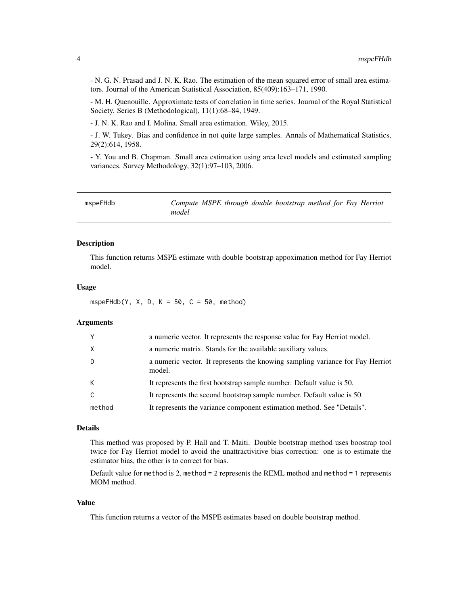<span id="page-3-0"></span>- N. G. N. Prasad and J. N. K. Rao. The estimation of the mean squared error of small area estimators. Journal of the American Statistical Association, 85(409):163–171, 1990.

- M. H. Quenouille. Approximate tests of correlation in time series. Journal of the Royal Statistical Society. Series B (Methodological), 11(1):68–84, 1949.

- J. N. K. Rao and I. Molina. Small area estimation. Wiley, 2015.

- J. W. Tukey. Bias and confidence in not quite large samples. Annals of Mathematical Statistics, 29(2):614, 1958.

- Y. You and B. Chapman. Small area estimation using area level models and estimated sampling variances. Survey Methodology, 32(1):97–103, 2006.

| mspeFHdb |       |  | Compute MSPE through double bootstrap method for Fay Herriot |  |  |
|----------|-------|--|--------------------------------------------------------------|--|--|
|          | model |  |                                                              |  |  |

# Description

This function returns MSPE estimate with double bootstrap appoximation method for Fay Herriot model.

# Usage

mspeFHdb(Y, X, D, K = 50, C = 50, method)

# Arguments

| Y        | a numeric vector. It represents the response value for Fay Herriot model.               |
|----------|-----------------------------------------------------------------------------------------|
| $\times$ | a numeric matrix. Stands for the available auxiliary values.                            |
| D        | a numeric vector. It represents the knowing sampling variance for Fay Herriot<br>model. |
| K        | It represents the first bootstrap sample number. Default value is 50.                   |
| C        | It represents the second bootstrap sample number. Default value is 50.                  |
| method   | It represents the variance component estimation method. See "Details".                  |

# Details

This method was proposed by P. Hall and T. Maiti. Double bootstrap method uses boostrap tool twice for Fay Herriot model to avoid the unattractivitive bias correction: one is to estimate the estimator bias, the other is to correct for bias.

Default value for method is 2, method = 2 represents the REML method and method = 1 represents MOM method.

#### Value

This function returns a vector of the MSPE estimates based on double bootstrap method.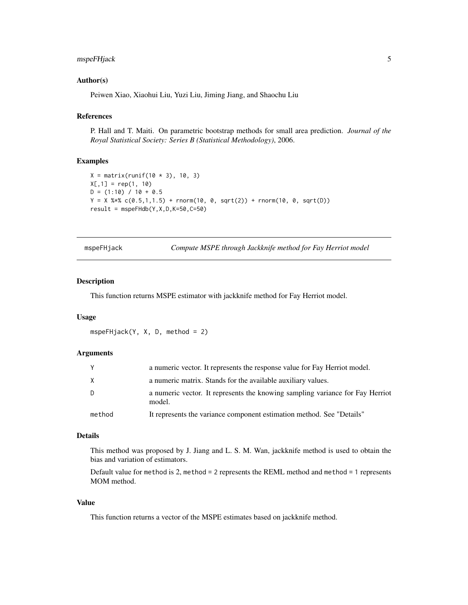# <span id="page-4-0"></span>mspeFHjack 5

# Author(s)

Peiwen Xiao, Xiaohui Liu, Yuzi Liu, Jiming Jiang, and Shaochu Liu

# References

P. Hall and T. Maiti. On parametric bootstrap methods for small area prediction. *Journal of the Royal Statistical Society: Series B (Statistical Methodology)*, 2006.

#### Examples

```
X = matrix(runit(10 * 3), 10, 3)X[, 1] = rep(1, 10)D = (1:10) / 10 + 0.5Y = X %*% c(0.5,1,1.5) + rnorm(10, 0, sqrt(2)) + rnorm(10, 0, sqrt(D))
result = mspeFHdb(Y, X, D, K=50, C=50)
```
mspeFHjack *Compute MSPE through Jackknife method for Fay Herriot model*

# Description

This function returns MSPE estimator with jackknife method for Fay Herriot model.

#### Usage

mspeFHjack(Y, X, D, method = 2)

# Arguments

| Y      | a numeric vector. It represents the response value for Fay Herriot model.               |
|--------|-----------------------------------------------------------------------------------------|
| X      | a numeric matrix. Stands for the available auxiliary values.                            |
| D      | a numeric vector. It represents the knowing sampling variance for Fay Herriot<br>model. |
| method | It represents the variance component estimation method. See "Details"                   |

#### Details

This method was proposed by J. Jiang and L. S. M. Wan, jackknife method is used to obtain the bias and variation of estimators.

Default value for method is 2, method = 2 represents the REML method and method = 1 represents MOM method.

# Value

This function returns a vector of the MSPE estimates based on jackknife method.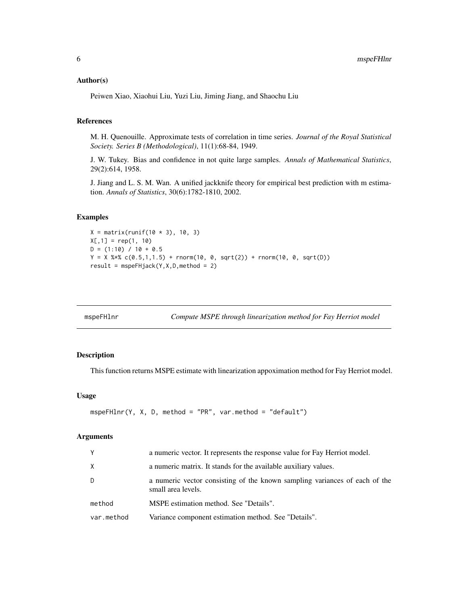# <span id="page-5-0"></span>Author(s)

Peiwen Xiao, Xiaohui Liu, Yuzi Liu, Jiming Jiang, and Shaochu Liu

# References

M. H. Quenouille. Approximate tests of correlation in time series. *Journal of the Royal Statistical Society. Series B (Methodological)*, 11(1):68-84, 1949.

J. W. Tukey. Bias and confidence in not quite large samples. *Annals of Mathematical Statistics*, 29(2):614, 1958.

J. Jiang and L. S. M. Wan. A unified jackknife theory for empirical best prediction with m estimation. *Annals of Statistics*, 30(6):1782-1810, 2002.

#### Examples

```
X = matrix(runit(10 * 3), 10, 3)X[, 1] = rep(1, 10)D = (1:10) / 10 + 0.5Y = X %*% c(0.5,1,1.5) + rnorm(10, 0, sqrt(2)) + rnorm(10, 0, sqrt(D))
result = mspeFHjack(Y, X, D, method = 2)
```

| mspeFHlnr |  |
|-----------|--|
|-----------|--|

Compute MSPE through linearization method for Fay Herriot model

#### Description

This function returns MSPE estimate with linearization appoximation method for Fay Herriot model.

# Usage

```
mspeFHlnr(Y, X, D, method = "PR", var.method = "default")
```

| a numeric matrix. It stands for the available auxiliary values.<br>X<br>D<br>small area levels.<br>method<br>MSPE estimation method. See "Details".<br>Variance component estimation method. See "Details".<br>var.method | Y | a numeric vector. It represents the response value for Fay Herriot model.  |
|---------------------------------------------------------------------------------------------------------------------------------------------------------------------------------------------------------------------------|---|----------------------------------------------------------------------------|
|                                                                                                                                                                                                                           |   |                                                                            |
|                                                                                                                                                                                                                           |   | a numeric vector consisting of the known sampling variances of each of the |
|                                                                                                                                                                                                                           |   |                                                                            |
|                                                                                                                                                                                                                           |   |                                                                            |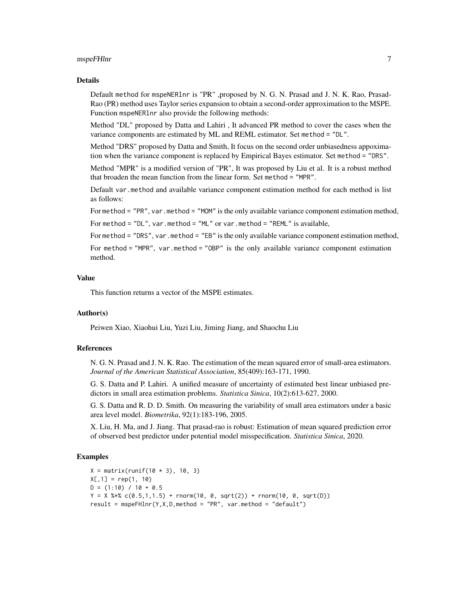# mspeFHlnr 7

#### Details

Default method for mspeNERlnr is "PR" ,proposed by N. G. N. Prasad and J. N. K. Rao, Prasad-Rao (PR) method uses Taylor series expansion to obtain a second-order approximation to the MSPE. Function mspeNERlnr also provide the following methods:

Method "DL" proposed by Datta and Lahiri , It advanced PR method to cover the cases when the variance components are estimated by ML and REML estimator. Set method = "DL".

Method "DRS" proposed by Datta and Smith, It focus on the second order unbiasedness appoximation when the variance component is replaced by Empirical Bayes estimator. Set method = "DRS".

Method "MPR" is a modified version of "PR", It was proposed by Liu et al. It is a robust method that broaden the mean function from the linear form. Set method = "MPR".

Default var.method and available variance component estimation method for each method is list as follows:

For method = "PR", var.method = "MOM" is the only available variance component estimation method,

For method = "DL", var.method = "ML" or var.method = "REML" is available,

For method = "DRS", var.method = "EB" is the only available variance component estimation method,

For method = "MPR", var.method = "OBP" is the only available variance component estimation method.

# Value

This function returns a vector of the MSPE estimates.

# Author(s)

Peiwen Xiao, Xiaohui Liu, Yuzi Liu, Jiming Jiang, and Shaochu Liu

# References

N. G. N. Prasad and J. N. K. Rao. The estimation of the mean squared error of small-area estimators. *Journal of the American Statistical Association*, 85(409):163-171, 1990.

G. S. Datta and P. Lahiri. A unified measure of uncertainty of estimated best linear unbiased predictors in small area estimation problems. *Statistica Sinica*, 10(2):613-627, 2000.

G. S. Datta and R. D. D. Smith. On measuring the variability of small area estimators under a basic area level model. *Biometrika*, 92(1):183-196, 2005.

X. Liu, H. Ma, and J. Jiang. That prasad-rao is robust: Estimation of mean squared prediction error of observed best predictor under potential model misspecification. *Statistica Sinica*, 2020.

```
X = matrix(runit(10 * 3), 10, 3)X[, 1] = rep(1, 10)D = (1:10) / 10 + 0.5Y = X %*% c(0.5,1,1.5) + rnorm(10, 0, sqrt(2)) + rnorm(10, 0, sqrt(D))
result = mspeFHInr(Y, X, D, method = "PR", var.method = "default")
```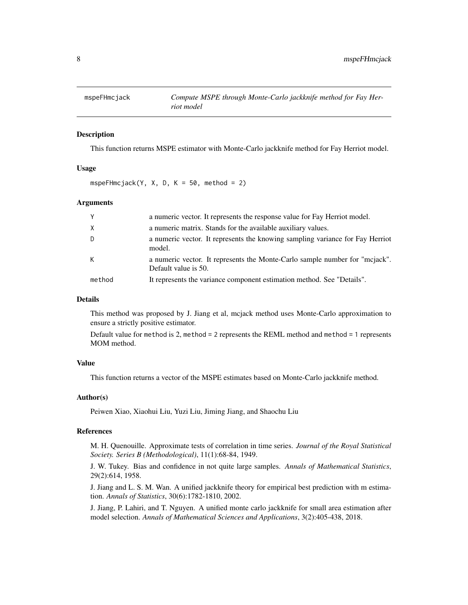<span id="page-7-0"></span>

# Description

This function returns MSPE estimator with Monte-Carlo jackknife method for Fay Herriot model.

# Usage

mspeFHmcjack(Y, X, D, K = 50, method = 2)

# Arguments

| $\mathsf{Y}$ | a numeric vector. It represents the response value for Fay Herriot model.                           |
|--------------|-----------------------------------------------------------------------------------------------------|
| $\chi$       | a numeric matrix. Stands for the available auxiliary values.                                        |
| D            | a numeric vector. It represents the knowing sampling variance for Fay Herriot<br>model.             |
| K            | a numeric vector. It represents the Monte-Carlo sample number for "mcjack".<br>Default value is 50. |
| method       | It represents the variance component estimation method. See "Details".                              |

# Details

This method was proposed by J. Jiang et al, mcjack method uses Monte-Carlo approximation to ensure a strictly positive estimator.

Default value for method is 2, method = 2 represents the REML method and method = 1 represents MOM method.

# Value

This function returns a vector of the MSPE estimates based on Monte-Carlo jackknife method.

#### Author(s)

Peiwen Xiao, Xiaohui Liu, Yuzi Liu, Jiming Jiang, and Shaochu Liu

#### References

M. H. Quenouille. Approximate tests of correlation in time series. *Journal of the Royal Statistical Society. Series B (Methodological)*, 11(1):68-84, 1949.

J. W. Tukey. Bias and confidence in not quite large samples. *Annals of Mathematical Statistics*, 29(2):614, 1958.

J. Jiang and L. S. M. Wan. A unified jackknife theory for empirical best prediction with m estimation. *Annals of Statistics*, 30(6):1782-1810, 2002.

J. Jiang, P. Lahiri, and T. Nguyen. A unified monte carlo jackknife for small area estimation after model selection. *Annals of Mathematical Sciences and Applications*, 3(2):405-438, 2018.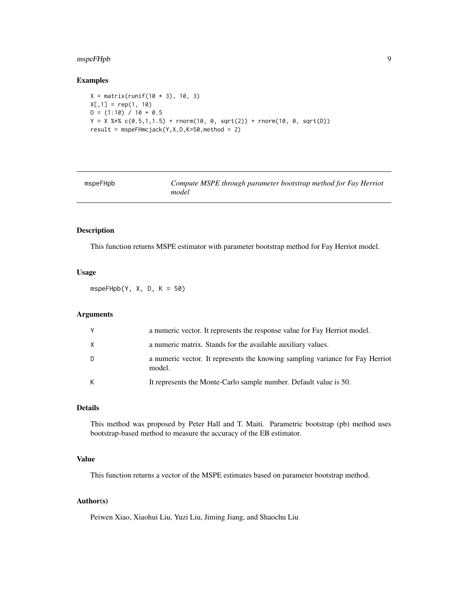# <span id="page-8-0"></span>mspeFHpb 9

# Examples

```
X = matrix(runit(10 * 3), 10, 3)X[, 1] = rep(1, 10)D = (1:10) / 10 + 0.5Y = X %*% c(0.5,1,1.5) + rnorm(10, 0, sqrt(2)) + rnorm(10, 0, sqrt(D))
result = mspeFHmcjack(Y,X,D,K=50,method = 2)
```

| mspeFHpb |
|----------|
|----------|

Compute MSPE through parameter bootstrap method for Fay Herriot *model*

# Description

This function returns MSPE estimator with parameter bootstrap method for Fay Herriot model.

# Usage

mspe $FHpb(Y, X, D, K = 50)$ 

# Arguments

|   | a numeric vector. It represents the response value for Fay Herriot model.               |
|---|-----------------------------------------------------------------------------------------|
| X | a numeric matrix. Stands for the available auxiliary values.                            |
| D | a numeric vector. It represents the knowing sampling variance for Fay Herriot<br>model. |
| К | It represents the Monte-Carlo sample number. Default value is 50.                       |

# Details

This method was proposed by Peter Hall and T. Maiti. Parametric bootstrap (pb) method uses bootstrap-based method to measure the accuracy of the EB estimator.

# Value

This function returns a vector of the MSPE estimates based on parameter bootstrap method.

# Author(s)

Peiwen Xiao, Xiaohui Liu, Yuzi Liu, Jiming Jiang, and Shaochu Liu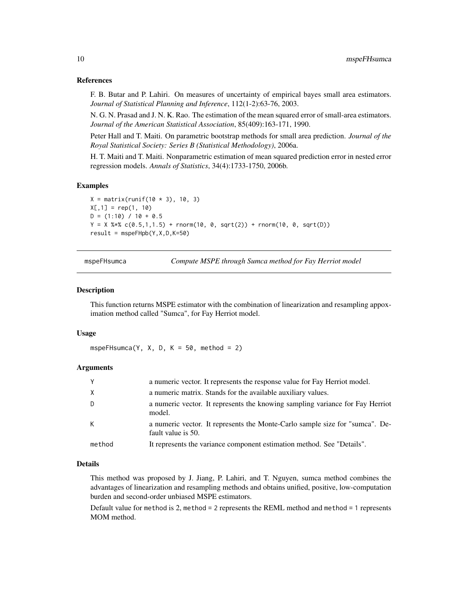# <span id="page-9-0"></span>References

F. B. Butar and P. Lahiri. On measures of uncertainty of empirical bayes small area estimators. *Journal of Statistical Planning and Inference*, 112(1-2):63-76, 2003.

N. G. N. Prasad and J. N. K. Rao. The estimation of the mean squared error of small-area estimators. *Journal of the American Statistical Association*, 85(409):163-171, 1990.

Peter Hall and T. Maiti. On parametric bootstrap methods for small area prediction. *Journal of the Royal Statistical Society: Series B (Statistical Methodology)*, 2006a.

H. T. Maiti and T. Maiti. Nonparametric estimation of mean squared prediction error in nested error regression models. *Annals of Statistics*, 34(4):1733-1750, 2006b.

# Examples

```
X = matrix(runit(10 * 3), 10, 3)X[, 1] = rep(1, 10)D = (1:10) / 10 + 0.5Y = X %*% c(0.5,1,1.5) + rnorm(10, 0, sqrt(2)) + rnorm(10, 0, sqrt(D))
result = mspeFHpb(Y, X, D, K=50)
```
mspeFHsumca *Compute MSPE through Sumca method for Fay Herriot model*

### Description

This function returns MSPE estimator with the combination of linearization and resampling appoximation method called "Sumca", for Fay Herriot model.

#### Usage

mspeFHsumca(Y, X, D, K = 50, method = 2)

# Arguments

| Y      | a numeric vector. It represents the response value for Fay Herriot model.                          |
|--------|----------------------------------------------------------------------------------------------------|
| X      | a numeric matrix. Stands for the available auxiliary values.                                       |
| D      | a numeric vector. It represents the knowing sampling variance for Fay Herriot<br>model.            |
| K      | a numeric vector. It represents the Monte-Carlo sample size for "sumca". De-<br>fault value is 50. |
| method | It represents the variance component estimation method. See "Details".                             |

# Details

This method was proposed by J. Jiang, P. Lahiri, and T. Nguyen, sumca method combines the advantages of linearization and resampling methods and obtains unified, positive, low-computation burden and second-order unbiased MSPE estimators.

Default value for method is 2, method = 2 represents the REML method and method = 1 represents MOM method.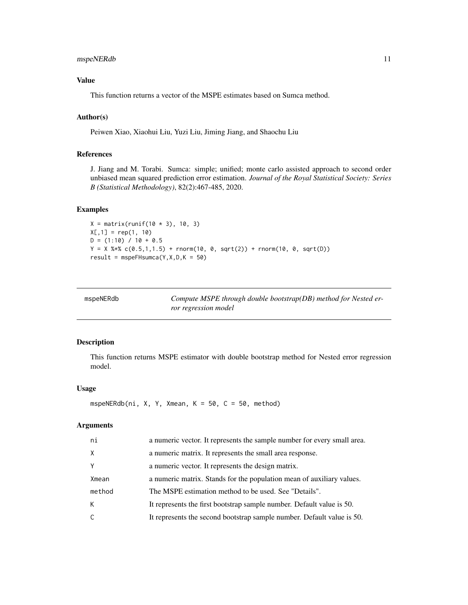# <span id="page-10-0"></span>mspeNERdb 11

# Value

This function returns a vector of the MSPE estimates based on Sumca method.

# Author(s)

Peiwen Xiao, Xiaohui Liu, Yuzi Liu, Jiming Jiang, and Shaochu Liu

# References

J. Jiang and M. Torabi. Sumca: simple; unified; monte carlo assisted approach to second order unbiased mean squared prediction error estimation. *Journal of the Royal Statistical Society: Series B (Statistical Methodology)*, 82(2):467-485, 2020.

# Examples

```
X = matrix(runit(10 * 3), 10, 3)X[, 1] = rep(1, 10)D = (1:10) / 10 + 0.5Y = X %*% c(0.5,1,1.5) + rnorm(10, 0, sqrt(2)) + rnorm(10, 0, sqrt(D))
result = mspeFHsumca(Y, X, D, K = 50)
```

| mspeNERdb | Compute MSPE through double bootstrap(DB) method for Nested er-<br>ror regression model |
|-----------|-----------------------------------------------------------------------------------------|
|           |                                                                                         |

# Description

This function returns MSPE estimator with double bootstrap method for Nested error regression model.

# Usage

```
mspeNERdb(ni, X, Y, Xmean, K = 50, C = 50, method)
```

| ni     | a numeric vector. It represents the sample number for every small area. |
|--------|-------------------------------------------------------------------------|
| X.     | a numeric matrix. It represents the small area response.                |
| Υ      | a numeric vector. It represents the design matrix.                      |
| Xmean  | a numeric matrix. Stands for the population mean of auxiliary values.   |
| method | The MSPE estimation method to be used. See "Details".                   |
| K.     | It represents the first bootstrap sample number. Default value is 50.   |
| C.     | It represents the second bootstrap sample number. Default value is 50.  |
|        |                                                                         |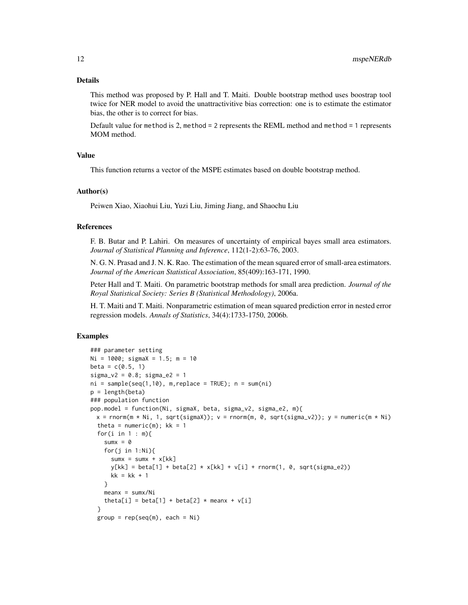This method was proposed by P. Hall and T. Maiti. Double bootstrap method uses boostrap tool twice for NER model to avoid the unattractivitive bias correction: one is to estimate the estimator bias, the other is to correct for bias.

Default value for method is 2, method = 2 represents the REML method and method = 1 represents MOM method.

# Value

This function returns a vector of the MSPE estimates based on double bootstrap method.

#### Author(s)

Peiwen Xiao, Xiaohui Liu, Yuzi Liu, Jiming Jiang, and Shaochu Liu

# References

F. B. Butar and P. Lahiri. On measures of uncertainty of empirical bayes small area estimators. *Journal of Statistical Planning and Inference*, 112(1-2):63-76, 2003.

N. G. N. Prasad and J. N. K. Rao. The estimation of the mean squared error of small-area estimators. *Journal of the American Statistical Association*, 85(409):163-171, 1990.

Peter Hall and T. Maiti. On parametric bootstrap methods for small area prediction. *Journal of the Royal Statistical Society: Series B (Statistical Methodology)*, 2006a.

H. T. Maiti and T. Maiti. Nonparametric estimation of mean squared prediction error in nested error regression models. *Annals of Statistics*, 34(4):1733-1750, 2006b.

```
### parameter setting
Ni = 1000; sigmaX = 1.5; m = 10
beta = c(0.5, 1)signa_v2 = 0.8; signa_e2 = 1ni = sample(seq(1,10), m, replace = TRUE); n = sum(ni)p = length(beta)
### population function
pop.model = function(Ni, sigmaX, beta, sigma_v2, sigma_e2, m){
 x = \text{rnorm}(m * Ni, 1, \text{sqrt}(sigmaX)); v = \text{rnorm}(m, 0, \text{sqrt}(sigma_V2)); v = \text{numeric}(m * Ni)theta = numeric(m); kk = 1for(i in 1 : m){
    sumx = 0for(j in 1:Ni){
      sumx = sumx + x[kk]y[kk] = beta[1] + beta[2] * x[kk] + v[i] + rnorm(1, 0, sqrt(sign_2))kk = kk + 1}
    meanx = sumx/Nitheta[i] = beta[1] + beta[2] \star meanx + v[i]}
 group = rep(seq(m), each = Ni)
```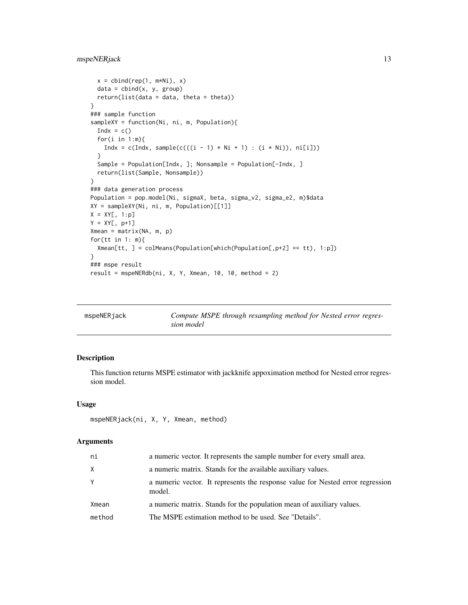```
x = \text{cbind}(\text{rep}(1, m \star \text{Ni}), x)data = child(x, y, group)return(list(data = data, theta = theta))
}
### sample function
sampleXY = function(Ni, ni, m, Population){
  Indx = c()for(i in 1:m){
    Indx = c(Indx, sample(c(((i - 1) * Ni + 1) : (i * Ni)), ni[i]))
  }
  Sample = Population[Indx, ]; Nonsample = Population[-Indx, ]
  return(list(Sample, Nonsample))
}
### data generation process
Population = pop.model(Ni, sigmaX, beta, sigma_v2, sigma_e2, m)$data
XY = sampleXY(Ni, ni, m, Population)[[1]]
X = XY[, 1:p]Y = XY[, p+1]Xmean = matrix(NA, m, p)
for(tt in 1: m){
  Xmean[tt, ] = colMeans(Population[which(Population[,p+2] == tt), 1:p])
}
### mspe result
result = mspeNERdb(ni, X, Y, Xmean, 10, 10, method = 2)
```

| mspeNERjack | Compute MSPE through resampling method for Nested error regres- |
|-------------|-----------------------------------------------------------------|
|             | sion model                                                      |

# Description

This function returns MSPE estimator with jackknife appoximation method for Nested error regression model.

# Usage

```
mspeNERjack(ni, X, Y, Xmean, method)
```

| ni     | a numeric vector. It represents the sample number for every small area.                  |
|--------|------------------------------------------------------------------------------------------|
| X      | a numeric matrix. Stands for the available auxiliary values.                             |
| Y      | a numeric vector. It represents the response value for Nested error regression<br>model. |
| Xmean  | a numeric matrix. Stands for the population mean of auxiliary values.                    |
| method | The MSPE estimation method to be used. See "Details".                                    |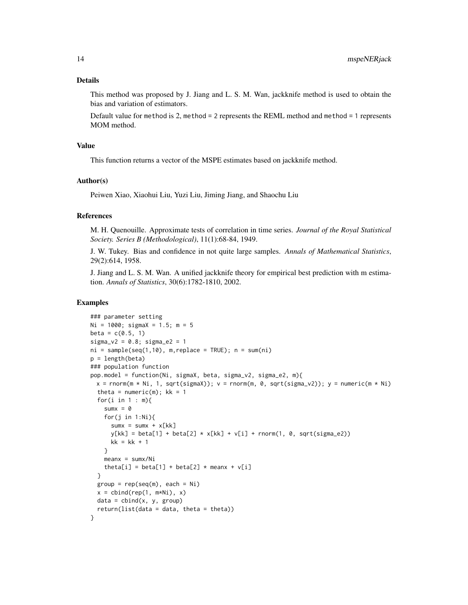This method was proposed by J. Jiang and L. S. M. Wan, jackknife method is used to obtain the bias and variation of estimators.

Default value for method is 2, method = 2 represents the REML method and method = 1 represents MOM method.

# Value

This function returns a vector of the MSPE estimates based on jackknife method.

# Author(s)

Peiwen Xiao, Xiaohui Liu, Yuzi Liu, Jiming Jiang, and Shaochu Liu

# References

M. H. Quenouille. Approximate tests of correlation in time series. *Journal of the Royal Statistical Society. Series B (Methodological)*, 11(1):68-84, 1949.

J. W. Tukey. Bias and confidence in not quite large samples. *Annals of Mathematical Statistics*, 29(2):614, 1958.

J. Jiang and L. S. M. Wan. A unified jackknife theory for empirical best prediction with m estimation. *Annals of Statistics*, 30(6):1782-1810, 2002.

```
### parameter setting
Ni = 1000; sigmaX = 1.5; m = 5
beta = c(0.5, 1)signa_v2 = 0.8; signa_e2 = 1ni = sample(seq(1,10), m, replace = TRUE); n = sum(ni)p = length(beta)
### population function
pop.model = function(Ni, sigmaX, beta, sigma_v2, sigma_e2, m){
  x = \text{rnorm}(m \times Ni, 1, \text{sqrt}(sigmaX)); v = \text{rnorm}(m, 0, \text{sqrt}(sigma_VZ)); y = \text{numeric}(m \times Ni)theta = numeric(m); kk = 1for(i in 1 : m){
    sum = 0for(j in 1:Ni){
      sumx = sumx + x[kk]y[kk] = beta[1] + beta[2] * x[kk] + v[i] + rnorm(1, 0, sqrt(signa_e2))kk = kk + 1}
    meanx = sumx/Nitheta[i] = beta[1] + beta[2] \star meanx + v[i]}
  group = rep(seq(m), each = Ni)x = \text{cbind}(\text{rep}(1, m \star \text{Ni}), x)data = child(x, y, group)return(list(data = data, theta = theta))}
```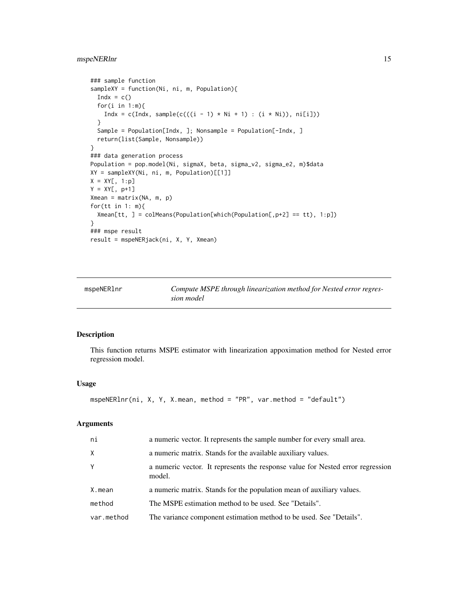# <span id="page-14-0"></span>mspeNERlnr 15

```
### sample function
sampleXY = function(Ni, ni, m, Population){
  Indx = c()for(i in 1:m){
   Indx = c(Indx, sample(c(((i - 1) * Ni + 1) : (i * Ni)), ni[i]))
  }
  Sample = Population[Indx, ]; Nonsample = Population[-Indx, ]
  return(list(Sample, Nonsample))
}
### data generation process
Population = pop.model(Ni, sigmaX, beta, sigma_v2, sigma_e2, m)$data
XY = sampleXY(Ni, ni, m, Population)[[1]]
X = XY[, 1:p]Y = XY[, p+1]Xmean = matrix(NA, m, p)
for(tt in 1: m){
  Xmean[tt, ] = colMeans(Population[which(Population[, p+2] == tt), 1:p])}
### mspe result
result = mspeNERjack(ni, X, Y, Xmean)
```
mspeNERlnr *Compute MSPE through linearization method for Nested error regression model*

#### Description

This function returns MSPE estimator with linearization appoximation method for Nested error regression model.

#### Usage

```
mspeNERlnr(ni, X, Y, X.mean, method = "PR", var.method = "default")
```

| ni         | a numeric vector. It represents the sample number for every small area.                  |
|------------|------------------------------------------------------------------------------------------|
| X          | a numeric matrix. Stands for the available auxiliary values.                             |
| Υ          | a numeric vector. It represents the response value for Nested error regression<br>model. |
| X.mean     | a numeric matrix. Stands for the population mean of auxiliary values.                    |
| method     | The MSPE estimation method to be used. See "Details".                                    |
| var.method | The variance component estimation method to be used. See "Details".                      |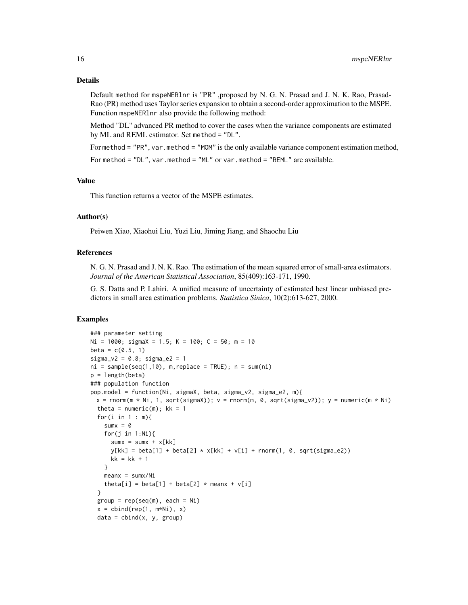Default method for mspeNERlnr is "PR" ,proposed by N. G. N. Prasad and J. N. K. Rao, Prasad-Rao (PR) method uses Taylor series expansion to obtain a second-order approximation to the MSPE. Function mspeNERlnr also provide the following method:

Method "DL" advanced PR method to cover the cases when the variance components are estimated by ML and REML estimator. Set method = "DL".

For method = "PR", var.method = "MOM" is the only available variance component estimation method,

For method = "DL", var.method = "ML" or var.method = "REML" are available.

# Value

This function returns a vector of the MSPE estimates.

#### Author(s)

Peiwen Xiao, Xiaohui Liu, Yuzi Liu, Jiming Jiang, and Shaochu Liu

### References

N. G. N. Prasad and J. N. K. Rao. The estimation of the mean squared error of small-area estimators. *Journal of the American Statistical Association*, 85(409):163-171, 1990.

G. S. Datta and P. Lahiri. A unified measure of uncertainty of estimated best linear unbiased predictors in small area estimation problems. *Statistica Sinica*, 10(2):613-627, 2000.

```
### parameter setting
Ni = 1000; sigmaX = 1.5; K = 100; C = 50; m = 10
beta = c(0.5, 1)signa_v2 = 0.8; signa_e2 = 1ni = sample(seq(1,10), m, replace = TRUE); n = sum(ni)p = length(beta)
### population function
pop.model = function(Ni, sigmaX, beta, sigma_v2, sigma_e2, m){
 x = \text{rnorm}(m * Ni, 1, \text{sqrt}(sigmaX)); v = \text{rnorm}(m, 0, \text{sqrt}(sigma_VZ)); y = \text{numeric}(m * Ni)theta = numeric(m); kk = 1for(i in 1 : m){
    sumx = 0for(j in 1:Ni){
      sumx = sumx + x[kk]y[kk] = beta[1] + beta[2] * x[kk] + v[i] + rnorm(1, 0, sqrt(sign_22))kk = kk + 1}
    meanx = sumx/Nitheta[i] = beta[1] + beta[2] * meanx + v[i]}
  group = rep(seq(m), each = Ni)x = \text{cbind}(\text{rep}(1, m \star \text{Ni}), x)data = child(x, y, group)
```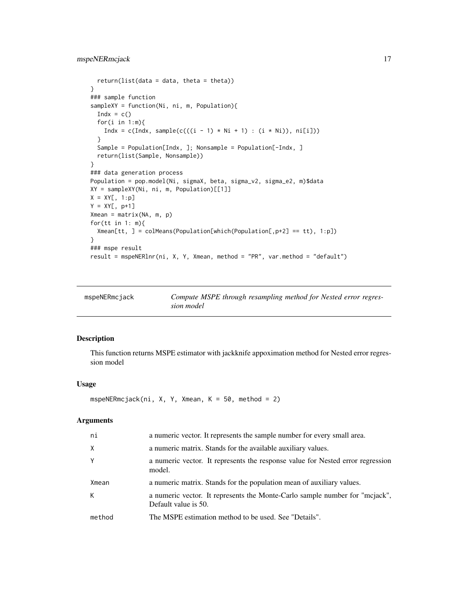```
return(list(data = data, theta = theta))}
### sample function
sampleXY = function(Ni, ni, m, Population){
 Indx = c()for(i in 1:m){
   Indx = c(Indx, sample(c(((i - 1) * Ni + 1) : (i * Ni)), ni[i]))
  }
  Sample = Population[Indx, ]; Nonsample = Population[-Indx, ]
  return(list(Sample, Nonsample))
}
### data generation process
Population = pop.model(Ni, sigmaX, beta, sigma_v2, sigma_e2, m)$data
XY = sampleXY(Ni, ni, m, Population)[[1]]
X = XY[, 1:p]Y = XY[, p+1]Xmean = matrix(NA, m, p)
for(tt in 1: m){
  Xmean[tt, ] = colMeans(Population[which(Population[, p+2] == tt), 1:p])}
### mspe result
result = mspeNERlnr(ni, X, Y, Xmean, method = "PR", var.method = "default")
```

| mspeNERmcjack | Compute MSPE through resampling method for Nested error regres- |
|---------------|-----------------------------------------------------------------|
|               | sion model                                                      |

# Description

This function returns MSPE estimator with jackknife appoximation method for Nested error regression model

#### Usage

```
mspeNERmcjack(ni, X, Y, Xmean, K = 50, method = 2)
```

| ni       | a numeric vector. It represents the sample number for every small area.                             |
|----------|-----------------------------------------------------------------------------------------------------|
| $\times$ | a numeric matrix. Stands for the available auxiliary values.                                        |
| Y        | a numeric vector. It represents the response value for Nested error regression<br>model.            |
| Xmean    | a numeric matrix. Stands for the population mean of auxiliary values.                               |
| К        | a numeric vector. It represents the Monte-Carlo sample number for "mcjack",<br>Default value is 50. |
| method   | The MSPE estimation method to be used. See "Details".                                               |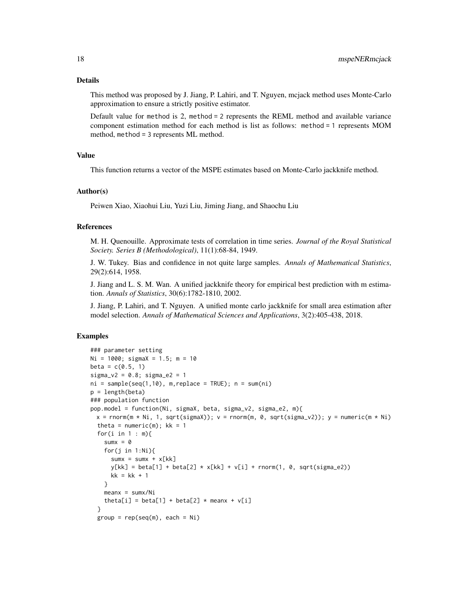This method was proposed by J. Jiang, P. Lahiri, and T. Nguyen, mcjack method uses Monte-Carlo approximation to ensure a strictly positive estimator.

Default value for method is 2, method = 2 represents the REML method and available variance component estimation method for each method is list as follows: method = 1 represents MOM method, method = 3 represents ML method.

# Value

This function returns a vector of the MSPE estimates based on Monte-Carlo jackknife method.

#### Author(s)

Peiwen Xiao, Xiaohui Liu, Yuzi Liu, Jiming Jiang, and Shaochu Liu

# References

M. H. Quenouille. Approximate tests of correlation in time series. *Journal of the Royal Statistical Society. Series B (Methodological)*, 11(1):68-84, 1949.

J. W. Tukey. Bias and confidence in not quite large samples. *Annals of Mathematical Statistics*, 29(2):614, 1958.

J. Jiang and L. S. M. Wan. A unified jackknife theory for empirical best prediction with m estimation. *Annals of Statistics*, 30(6):1782-1810, 2002.

J. Jiang, P. Lahiri, and T. Nguyen. A unified monte carlo jackknife for small area estimation after model selection. *Annals of Mathematical Sciences and Applications*, 3(2):405-438, 2018.

```
### parameter setting
Ni = 1000; sigmaX = 1.5; m = 10
beta = c(0.5, 1)signa_v2 = 0.8; signa_e2 = 1ni = sample(seq(1,10), m, replace = TRUE); n = sum(ni)p = length(beta)
### population function
pop.model = function(Ni, sigmaX, beta, sigma_v2, sigma_e2, m){
 x = \text{rnorm}(m * Ni, 1, \text{sqrt}(sigmaX)); v = \text{rnorm}(m, 0, \text{sqrt}(sigma_V2)); v = \text{numeric}(m * Ni)theta = numeric(m); kk = 1for(i in 1 : m){
    sumx = 0for(j in 1:Ni){
      sumx = sumx + x[kk]y[kk] = beta[1] + beta[2] * x[kk] + v[i] + rnorm(1, 0, sqrt(sign_2))kk = kk + 1}
    meanx = sumx/Nitheta[i] = beta[1] + beta[2] \star meanx + v[i]
 }
 group = rep(seq(m), each = Ni)
```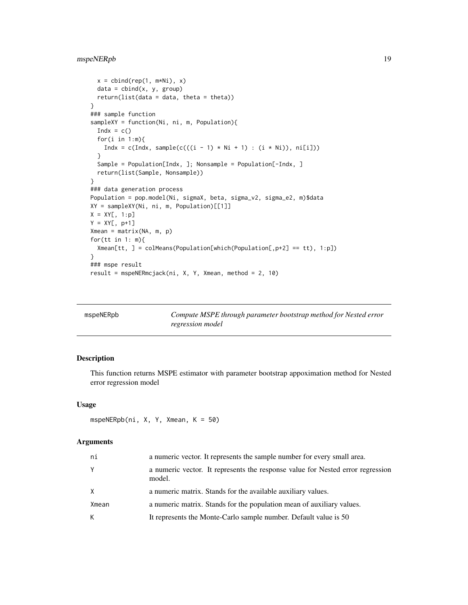```
x = \text{cbind}(\text{rep}(1, m \star \text{Ni}), x)data = child(x, y, group)return(list(data = data, theta = theta))
}
### sample function
sampleXY = function(Ni, ni, m, Population){
  Indx = c()for(i in 1:m){
    Indx = c(Indx, sample(c(((i - 1) * Ni + 1) : (i * Ni)), ni[i]))
  }
  Sample = Population[Indx, ]; Nonsample = Population[-Indx, ]
  return(list(Sample, Nonsample))
}
### data generation process
Population = pop.model(Ni, sigmaX, beta, sigma_v2, sigma_e2, m)$data
XY = sampleXY(Ni, ni, m, Population)[[1]]
X = XY[, 1:p]Y = XY[, p+1]Xmean = matrix(NA, m, p)
for(tt in 1: m){
  Xmean[tt, ] = colMeans(Population[which(Population[,p+2] == tt), 1:p])
}
### mspe result
result = mspeNERmcjack(ni, X, Y, Xmean, method = 2, 10)
```

| mspeNERpb | Compute MSPE through parameter bootstrap method for Nested error |
|-----------|------------------------------------------------------------------|
|           | regression model                                                 |

# Description

This function returns MSPE estimator with parameter bootstrap appoximation method for Nested error regression model

## Usage

```
mspeNERpb(ni, X, Y, Xmean, K = 50)
```

| ni    | a numeric vector. It represents the sample number for every small area.                  |
|-------|------------------------------------------------------------------------------------------|
| Υ     | a numeric vector. It represents the response value for Nested error regression<br>model. |
| X     | a numeric matrix. Stands for the available auxiliary values.                             |
| Xmean | a numeric matrix. Stands for the population mean of auxiliary values.                    |
| K     | It represents the Monte-Carlo sample number. Default value is 50                         |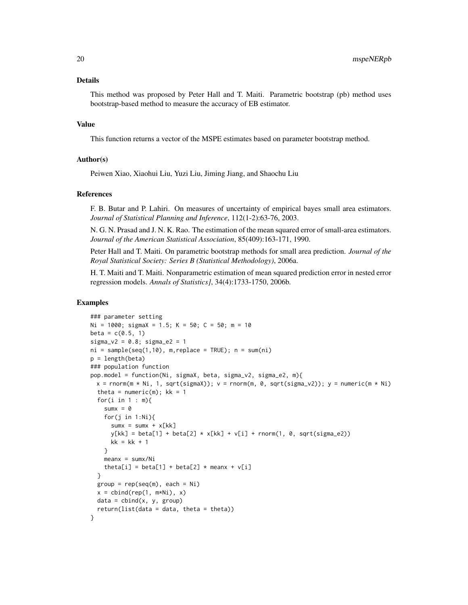This method was proposed by Peter Hall and T. Maiti. Parametric bootstrap (pb) method uses bootstrap-based method to measure the accuracy of EB estimator.

#### Value

This function returns a vector of the MSPE estimates based on parameter bootstrap method.

# Author(s)

Peiwen Xiao, Xiaohui Liu, Yuzi Liu, Jiming Jiang, and Shaochu Liu

# References

F. B. Butar and P. Lahiri. On measures of uncertainty of empirical bayes small area estimators. *Journal of Statistical Planning and Inference*, 112(1-2):63-76, 2003.

N. G. N. Prasad and J. N. K. Rao. The estimation of the mean squared error of small-area estimators. *Journal of the American Statistical Association*, 85(409):163-171, 1990.

Peter Hall and T. Maiti. On parametric bootstrap methods for small area prediction. *Journal of the Royal Statistical Society: Series B (Statistical Methodology)*, 2006a.

H. T. Maiti and T. Maiti. Nonparametric estimation of mean squared prediction error in nested error regression models. *Annals of Statistics]*, 34(4):1733-1750, 2006b.

```
### parameter setting
Ni = 1000; sigmaX = 1.5; K = 50; C = 50; m = 10
beta = c(0.5, 1)signa_v2 = 0.8; signa_e2 = 1ni = sample(seq(1,10), m, replace = TRUE); n = sum(ni)p = length(beta)
### population function
pop.model = function(Ni, sigmaX, beta, sigma_v2, sigma_e2, m){
  x = \text{rnorm}(m \times Ni, 1, \text{sqrt}(sigmaX)); v = \text{rnorm}(m, 0, \text{sqrt}(sigma_VZ)); y = \text{numeric}(m \times Ni)theta = numeric(m); kk = 1for(i in 1 : m){
    sum = 0for(j in 1:Ni){
      sumx = sumx + x[kk]y[kk] = beta[1] + beta[2] * x[kk] + v[i] + rnorm(1, 0, sqrt(sign_a e2))kk = kk + 1}
    meanx = sumx/Nitheta[i] = beta[1] + beta[2] \star meanx + v[i]}
  group = rep(seq(m), each = Ni)x = \text{cbind}(\text{rep}(1, m \star \text{Ni}), x)data = child(x, y, group)return(list(data = data, theta = theta))}
```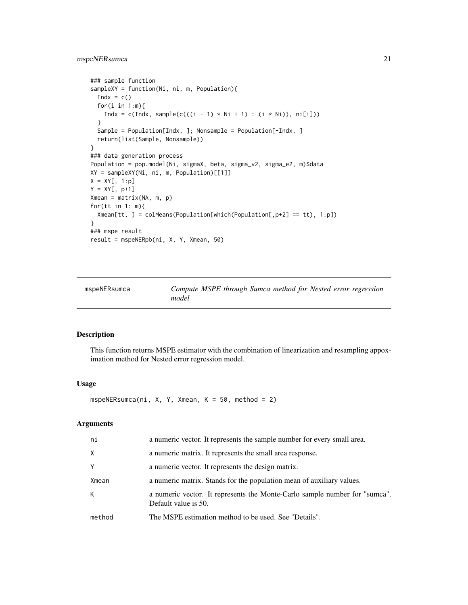# <span id="page-20-0"></span>mspeNERsumca 21

```
### sample function
sampleXY = function(Ni, ni, m, Population){
  Indx = c()for(i in 1:m){
   Indx = c(Indx, sample(c(((i - 1) * Ni + 1) : (i * Ni)), ni[i]))
  }
  Sample = Population[Indx, ]; Nonsample = Population[-Indx, ]
  return(list(Sample, Nonsample))
}
### data generation process
Population = pop.model(Ni, sigmaX, beta, sigma_v2, sigma_e2, m)$data
XY = sampleXY(Ni, ni, m, Population)[[1]]
X = XY[, 1:p]Y = XY[, p+1]Xmean = matrix(NA, m, p)
for(tt in 1: m){
  Xmean[tt, ] = colMeans(Population[which(Population[, p+2] == tt), 1:p])}
### mspe result
result = mspeNERpb(ni, X, Y, Xmean, 50)
```
mspeNERsumca *Compute MSPE through Sumca method for Nested error regression model*

#### Description

This function returns MSPE estimator with the combination of linearization and resampling appoximation method for Nested error regression model.

#### Usage

mspeNERsumca(ni, X, Y, Xmean, K =  $50$ , method = 2)

| ni     | a numeric vector. It represents the sample number for every small area.                            |
|--------|----------------------------------------------------------------------------------------------------|
| X      | a numeric matrix. It represents the small area response.                                           |
| Y      | a numeric vector. It represents the design matrix.                                                 |
| Xmean  | a numeric matrix. Stands for the population mean of auxiliary values.                              |
| K      | a numeric vector. It represents the Monte-Carlo sample number for "sumca".<br>Default value is 50. |
| method | The MSPE estimation method to be used. See "Details".                                              |
|        |                                                                                                    |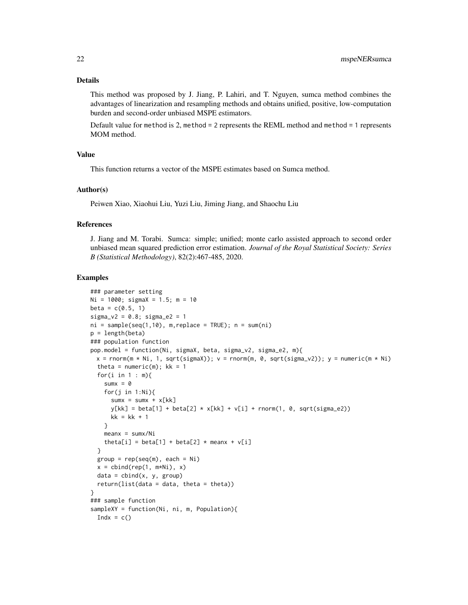This method was proposed by J. Jiang, P. Lahiri, and T. Nguyen, sumca method combines the advantages of linearization and resampling methods and obtains unified, positive, low-computation burden and second-order unbiased MSPE estimators.

Default value for method is 2, method = 2 represents the REML method and method = 1 represents MOM method.

# Value

This function returns a vector of the MSPE estimates based on Sumca method.

#### Author(s)

Peiwen Xiao, Xiaohui Liu, Yuzi Liu, Jiming Jiang, and Shaochu Liu

#### References

J. Jiang and M. Torabi. Sumca: simple; unified; monte carlo assisted approach to second order unbiased mean squared prediction error estimation. *Journal of the Royal Statistical Society: Series B (Statistical Methodology)*, 82(2):467-485, 2020.

```
### parameter setting
Ni = 1000; sigmaX = 1.5; m = 10
beta = c(0.5, 1)sigma_v2 = 0.8; sigma_e2 = 1
ni = sample(seq(1,10), m, replace = TRUE); n = sum(ni)p = length(beta)
### population function
pop.model = function(Ni, sigmaX, beta, sigma_v2, sigma_e2, m){
 x = \text{rnorm}(m * Ni, 1, \text{sqrt}(sigmaX)); v = \text{rnorm}(m, 0, \text{sqrt}(sigma_YZ)); y = \text{numeric}(m * Ni)theta = numeric(m); kk = 1for(i in 1 : m){
    sumx = 0for(j in 1:Ni){
      sum = sumx + x[kk]y[kk] = beta[1] + beta[2] * x[kk] + v[i] + rnorm(1, 0, sqrt(sign_a e2))kk = kk + 1}
    meanx = sumx/Nitheta[i] = beta[1] + beta[2] \star meanx + v[i]}
  group = rep(seq(m), each = Ni)x = \text{cbind}(\text{rep}(1, m \star \text{Ni}), x)data = child(x, y, group)return(list(data = data, theta = theta))
}
### sample function
sampleXY = function(Ni, ni, m, Population){
  Indx = c()
```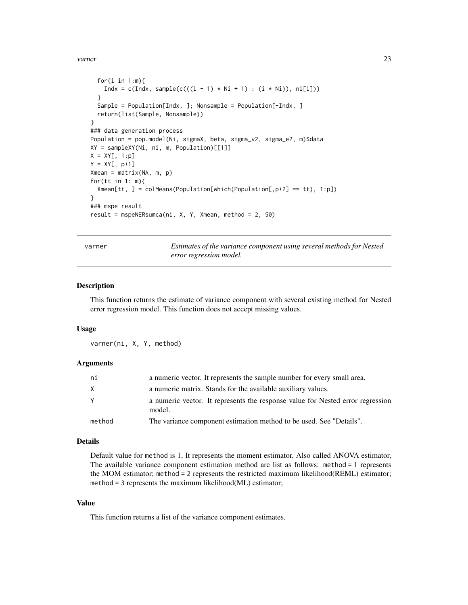#### <span id="page-22-0"></span>varner 23

```
for(i in 1:m){
    Indx = c(Indx, sample(c(((i - 1) * Ni + 1) : (i * Ni)), ni[i]))
  }
  Sample = Population[Indx, ]; Nonsample = Population[-Indx, ]
  return(list(Sample, Nonsample))
}
### data generation process
Population = pop.model(Ni, sigmaX, beta, sigma_v2, sigma_e2, m)$data
XY = sampleXY(Ni, ni, m, Population)[[1]]
X = XY[, 1:p]Y = XY[, p+1]Xmean = matrix(NA, m, p)
for(tt in 1: m){
  Xmean[tt, ] = colMeans(Population[which(Population[, p+2] == tt), 1:p])}
### mspe result
result = mspeNERsumca(ni, X, Y, Xmean, method = 2, 50)
```
varner *Estimates of the variance component using several methods for Nested error regression model.*

#### Description

This function returns the estimate of variance component with several existing method for Nested error regression model. This function does not accept missing values.

#### Usage

varner(ni, X, Y, method)

# Arguments

| ni     | a numeric vector. It represents the sample number for every small area.                  |
|--------|------------------------------------------------------------------------------------------|
| X      | a numeric matrix. Stands for the available auxiliary values.                             |
|        | a numeric vector. It represents the response value for Nested error regression<br>model. |
| method | The variance component estimation method to be used. See "Details".                      |

# Details

Default value for method is 1, It represents the moment estimator, Also called ANOVA estimator, The available variance component estimation method are list as follows: method = 1 represents the MOM estimator; method = 2 represents the restricted maximum likelihood(REML) estimator; method = 3 represents the maximum likelihood(ML) estimator;

# Value

This function returns a list of the variance component estimates.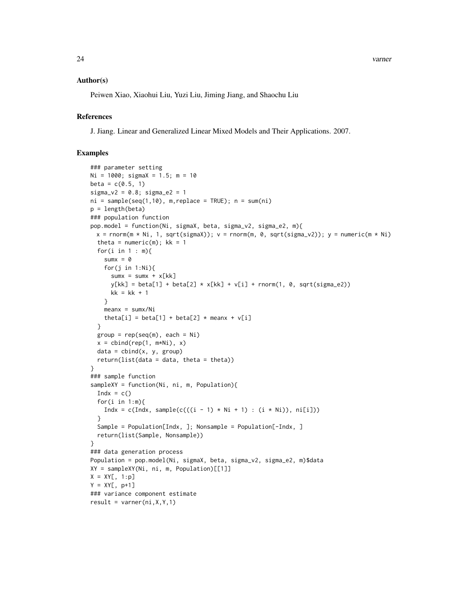24 varner

# Author(s)

Peiwen Xiao, Xiaohui Liu, Yuzi Liu, Jiming Jiang, and Shaochu Liu

# References

J. Jiang. Linear and Generalized Linear Mixed Models and Their Applications. 2007.

```
### parameter setting
Ni = 1000; sigmaX = 1.5; m = 10
beta = c(0.5, 1)signa_v2 = 0.8; signa_e2 = 1ni = sample(seq(1,10), m, replace = TRUE); n = sum(ni)p = length(beta)
### population function
pop.model = function(Ni, sigmaX, beta, sigma_v2, sigma_e2, m){
 x = \text{rnorm}(m \times Ni, 1, \text{sqrt}(sigmaX)); v = \text{rnorm}(m, 0, \text{sqrt}(sigma_XZ)); y = \text{numeric}(m \times Ni)theta = numeric(m); kk = 1for(i in 1 : m){
    sumx = 0for(j in 1:Ni){
      sumx = sumx + x[kk]y[kk] = beta[1] + beta[2] * x[kk] + v[i] + rnorm(1, 0, sqrt(sign_2e2))kk = kk + 1}
    meanx = sumx/Nitheta[i] = beta[1] + beta[2] \star meanx + v[i]}
  group = rep(seq(m), each = Ni)x = \text{cbind}(\text{rep}(1, m \star \text{Ni}), x)data = child(x, y, group)return(list(data = data, theta = theta)}
### sample function
sampleXY = function(Ni, ni, m, Population){
  Indx = c()for(i in 1:m){
    Indx = c(Indx, sample(c(((i - 1) * Ni + 1) : (i * Ni)), ni[i]))
  }
  Sample = Population[Indx, ]; Nonsample = Population[-Indx, ]
  return(list(Sample, Nonsample))
}
### data generation process
Population = pop.model(Ni, sigmaX, beta, sigma_v2, sigma_e2, m)$data
XY = sampleXY(Ni, ni, m, Population)[[1]]
X = XY[, 1:p]Y = XY[, p+1]### variance component estimate
result = varner(ni, X, Y, 1)
```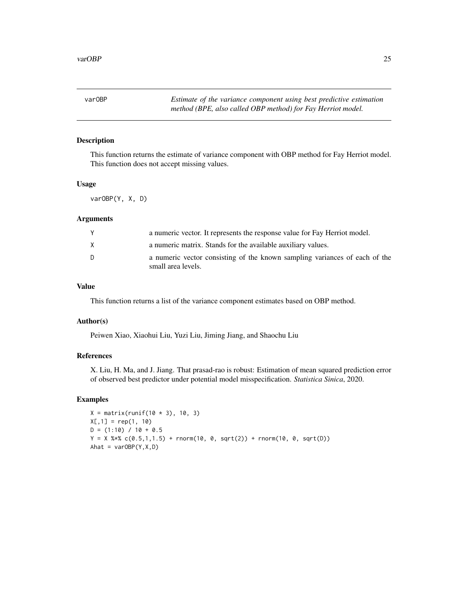<span id="page-24-0"></span>varOBP *Estimate of the variance component using best predictive estimation method (BPE, also called OBP method) for Fay Herriot model.*

# Description

This function returns the estimate of variance component with OBP method for Fay Herriot model. This function does not accept missing values.

# Usage

varOBP(Y, X, D)

# Arguments

| Y  | a numeric vector. It represents the response value for Fay Herriot model.                        |
|----|--------------------------------------------------------------------------------------------------|
| X  | a numeric matrix. Stands for the available auxiliary values.                                     |
| D. | a numeric vector consisting of the known sampling variances of each of the<br>small area levels. |

# Value

This function returns a list of the variance component estimates based on OBP method.

# Author(s)

Peiwen Xiao, Xiaohui Liu, Yuzi Liu, Jiming Jiang, and Shaochu Liu

# References

X. Liu, H. Ma, and J. Jiang. That prasad-rao is robust: Estimation of mean squared prediction error of observed best predictor under potential model misspecification. *Statistica Sinica*, 2020.

```
X = matrix(runit(10 * 3), 10, 3)X[, 1] = rep(1, 10)D = (1:10) / 10 + 0.5Y = X %*% c(0.5,1,1.5) + rnorm(10, 0, sqrt(2)) + rnorm(10, 0, sqrt(D))
Ahat = varOBP(Y, X, D)
```